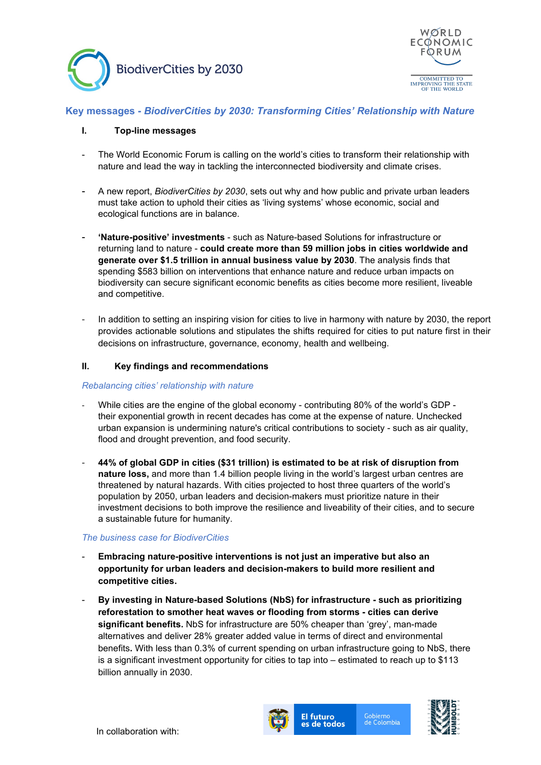



# **Key messages -** *BiodiverCities by 2030: Transforming Cities' Relationship with Nature*

### **I. Top-line messages**

- The World Economic Forum is calling on the world's cities to transform their relationship with nature and lead the way in tackling the interconnected biodiversity and climate crises.
- A new report, *BiodiverCities by 2030*, sets out why and how public and private urban leaders must take action to uphold their cities as 'living systems' whose economic, social and ecological functions are in balance.
- **'Nature-positive' investments** such as Nature-based Solutions for infrastructure or returning land to nature - **could create more than 59 million jobs in cities worldwide and generate over \$1.5 trillion in annual business value by 2030**. The analysis finds that spending \$583 billion on interventions that enhance nature and reduce urban impacts on biodiversity can secure significant economic benefits as cities become more resilient, liveable and competitive.
- In addition to setting an inspiring vision for cities to live in harmony with nature by 2030, the report provides actionable solutions and stipulates the shifts required for cities to put nature first in their decisions on infrastructure, governance, economy, health and wellbeing.

## **II. Key findings and recommendations**

### *Rebalancing cities' relationship with nature*

- While cities are the engine of the global economy contributing 80% of the world's GDP their exponential growth in recent decades has come at the expense of nature. Unchecked urban expansion is undermining nature's critical contributions to society - such as air quality, flood and drought prevention, and food security.
- **44% of global GDP in cities (\$31 trillion) is estimated to be at risk of disruption from nature loss,** and more than 1.4 billion people living in the world's largest urban centres are threatened by natural hazards. With cities projected to host three quarters of the world's population by 2050, urban leaders and decision-makers must prioritize nature in their investment decisions to both improve the resilience and liveability of their cities, and to secure a sustainable future for humanity.

## *The business case for BiodiverCities*

- **Embracing nature-positive interventions is not just an imperative but also an opportunity for urban leaders and decision-makers to build more resilient and competitive cities.**
- **By investing in Nature-based Solutions (NbS) for infrastructure - such as prioritizing reforestation to smother heat waves or flooding from storms - cities can derive significant benefits.** NbS for infrastructure are 50% cheaper than 'grey', man-made alternatives and deliver 28% greater added value in terms of direct and environmental benefits**.** With less than 0.3% of current spending on urban infrastructure going to NbS, there is a significant investment opportunity for cities to tap into – estimated to reach up to \$113 billion annually in 2030.



Gobierno<br>de Colombia